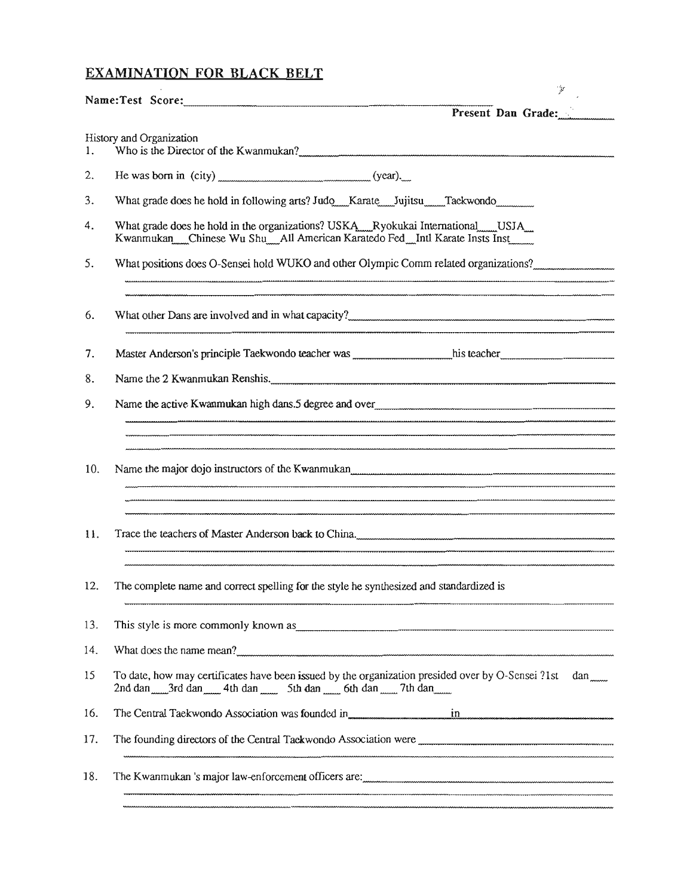## EXAMINATION FOR BLACK BELT

|     | r                                                                                                                                                                                                                                    |
|-----|--------------------------------------------------------------------------------------------------------------------------------------------------------------------------------------------------------------------------------------|
|     | Present Dan Grade:                                                                                                                                                                                                                   |
| 1.  | History and Organization                                                                                                                                                                                                             |
| 2.  |                                                                                                                                                                                                                                      |
| 3.  | What grade does he hold in following arts? Judo ___ Karate ___ Jujitsu ___ Taekwondo                                                                                                                                                 |
| 4.  | What grade does he hold in the organizations? USKA_Ryokukai International____USJA_<br>Kwanmukan Chinese Wu Shu All American Karatedo Fed Intl Karate Insts Inst                                                                      |
| 5.  | What positions does O-Sensei hold WUKO and other Olympic Comm related organizations?                                                                                                                                                 |
| 6.  |                                                                                                                                                                                                                                      |
| 7.  |                                                                                                                                                                                                                                      |
| 8.  | Name the 2 Kwanmukan Renshis.                                                                                                                                                                                                        |
| 9.  |                                                                                                                                                                                                                                      |
|     |                                                                                                                                                                                                                                      |
| 10. |                                                                                                                                                                                                                                      |
| 11. | Trace the teachers of Master Anderson back to China.                                                                                                                                                                                 |
| 12. | The complete name and correct spelling for the style he synthesized and standardized is                                                                                                                                              |
| 13. | This style is more commonly known as <b>contract the contract of the contract of the contract of the contract of the contract of the contract of the contract of the contract of the contract of the contract of the contract of</b> |
| 14. |                                                                                                                                                                                                                                      |
| 15  | To date, how may certificates have been issued by the organization presided over by O-Sensei ?1st<br>$dan$ <sub>mm</sub><br>2nd dan _______ 3rd dan ______ 4th dan ______ 5th dan ______ 6th dan ______ 7th dan ______               |
| 16. | The Central Taekwondo Association was founded in in in in in the central Taekwondo Association was founded in                                                                                                                        |
| 17. |                                                                                                                                                                                                                                      |
| 18. | The Kwanmukan 's major law-enforcement officers are:                                                                                                                                                                                 |

 $\frac{1}{2}$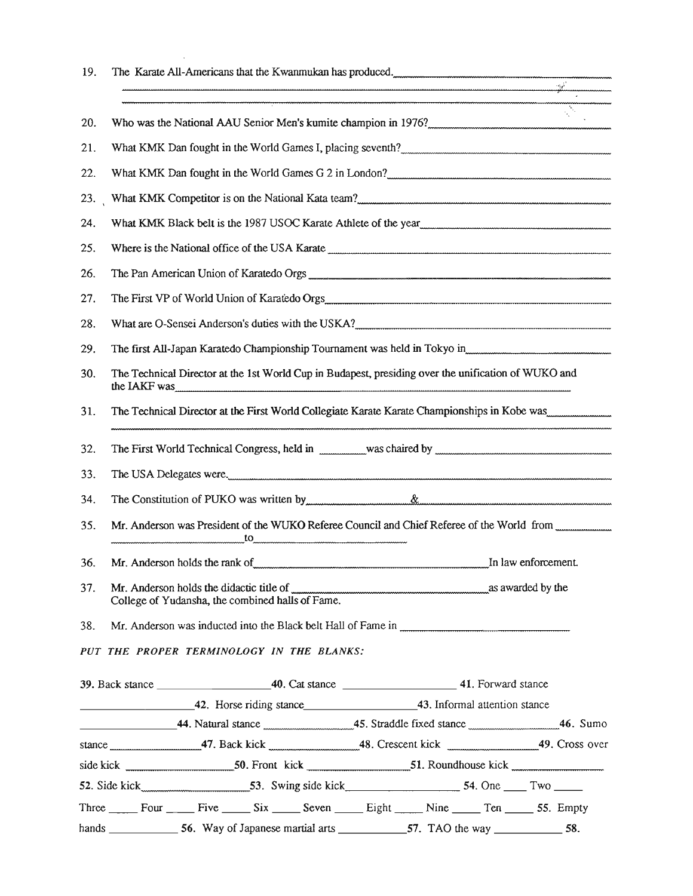| 19. |                                                                                                                                                                                                                                                                                                                                                                |  |
|-----|----------------------------------------------------------------------------------------------------------------------------------------------------------------------------------------------------------------------------------------------------------------------------------------------------------------------------------------------------------------|--|
|     |                                                                                                                                                                                                                                                                                                                                                                |  |
| 20. | Who was the National AAU Senior Men's kumite champion in 1976?                                                                                                                                                                                                                                                                                                 |  |
| 21. | What KMK Dan fought in the World Games I, placing seventh?                                                                                                                                                                                                                                                                                                     |  |
| 22. | What KMK Dan fought in the World Games G 2 in London?                                                                                                                                                                                                                                                                                                          |  |
| 23. |                                                                                                                                                                                                                                                                                                                                                                |  |
| 24. | What KMK Black belt is the 1987 USOC Karate Athlete of the year manufacture manufacture manufacture                                                                                                                                                                                                                                                            |  |
| 25. |                                                                                                                                                                                                                                                                                                                                                                |  |
| 26. |                                                                                                                                                                                                                                                                                                                                                                |  |
| 27. |                                                                                                                                                                                                                                                                                                                                                                |  |
| 28. | What are O-Sensei Anderson's duties with the USKA?                                                                                                                                                                                                                                                                                                             |  |
| 29. | The first All-Japan Karatedo Championship Tournament was held in Tokyo in manufacture manufacture manufacture                                                                                                                                                                                                                                                  |  |
| 30. | The Technical Director at the 1st World Cup in Budapest, presiding over the unification of WUKO and<br>the IAKF was <b>with the SET was a constructed by the UAKF</b> was <b>a</b> constructed by the UAKF was <b>a constructed by the UAKF</b> was <b>a</b> constructed by the UAKF was <b>a</b> constructed by the UAKF was a construction of the UAKF was a |  |
| 31. | The Technical Director at the First World Collegiate Karate Karate Championships in Kobe was                                                                                                                                                                                                                                                                   |  |
| 32. |                                                                                                                                                                                                                                                                                                                                                                |  |
| 33. |                                                                                                                                                                                                                                                                                                                                                                |  |
| 34. |                                                                                                                                                                                                                                                                                                                                                                |  |
| 35. | Mr. Anderson was President of the WUKO Referee Council and Chief Referee of the World from manufacturing                                                                                                                                                                                                                                                       |  |
| 36. | In law enforcement.<br>Mr. Anderson holds the rank of with the state of the state of the state of the state of the state of the state of the state of the state of the state of the state of the state of the state of the state of the state of the                                                                                                           |  |
| 37. | Mr. Anderson holds the didactic title of www.www.www.www.www.www.www.www.as awarded by the<br>College of Yudansha, the combined halls of Fame.                                                                                                                                                                                                                 |  |
| 38. |                                                                                                                                                                                                                                                                                                                                                                |  |
|     | PUT THE PROPER TERMINOLOGY IN THE BLANKS:                                                                                                                                                                                                                                                                                                                      |  |
|     |                                                                                                                                                                                                                                                                                                                                                                |  |
|     | 42. Horse riding stance 43. Informal attention stance                                                                                                                                                                                                                                                                                                          |  |
|     |                                                                                                                                                                                                                                                                                                                                                                |  |
|     | stance 19. Cross over                                                                                                                                                                                                                                                                                                                                          |  |
|     |                                                                                                                                                                                                                                                                                                                                                                |  |
|     | 52. Side kick 53. Swing side kick 53. Swing side kick 54. One Two                                                                                                                                                                                                                                                                                              |  |
|     | Three Four Five Six Seven Eight Nine Ten 55. Empty                                                                                                                                                                                                                                                                                                             |  |
|     |                                                                                                                                                                                                                                                                                                                                                                |  |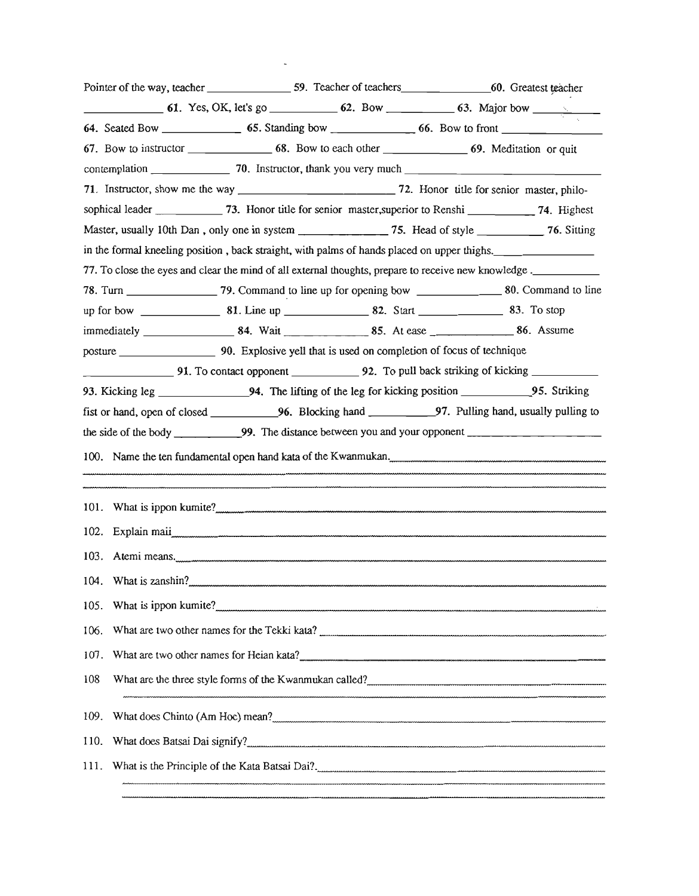|      |  | Pointer of the way, teacher _____________________59. Teacher of teachers___________________60. Greatest teacher |                                                                |
|------|--|-----------------------------------------------------------------------------------------------------------------|----------------------------------------------------------------|
|      |  |                                                                                                                 |                                                                |
|      |  |                                                                                                                 |                                                                |
|      |  | 67. Bow to instructor 68. Bow to each other 69. Meditation or quit                                              |                                                                |
|      |  |                                                                                                                 |                                                                |
|      |  |                                                                                                                 |                                                                |
|      |  | sophical leader _______________ 73. Honor title for senior master, superior to Renshi ____________ 74. Highest  |                                                                |
|      |  | Master, usually 10th Dan, only one in system ________________75. Head of style ___________76. Sitting           |                                                                |
|      |  | in the formal kneeling position, back straight, with palms of hands placed on upper thighs.                     |                                                                |
|      |  | 77. To close the eyes and clear the mind of all external thoughts, prepare to receive new knowledge.            |                                                                |
|      |  |                                                                                                                 |                                                                |
|      |  |                                                                                                                 |                                                                |
|      |  |                                                                                                                 |                                                                |
|      |  | 91. To contact opponent 92. To pull back striking of kicking                                                    |                                                                |
|      |  |                                                                                                                 |                                                                |
|      |  | fist or hand, open of closed ______________96. Blocking hand ____________97. Pulling hand, usually pulling to   |                                                                |
|      |  |                                                                                                                 |                                                                |
|      |  |                                                                                                                 |                                                                |
|      |  |                                                                                                                 | 100. Name the ten fundamental open hand kata of the Kwanmukan. |
|      |  |                                                                                                                 |                                                                |
|      |  |                                                                                                                 |                                                                |
|      |  |                                                                                                                 |                                                                |
|      |  |                                                                                                                 |                                                                |
|      |  | 104. What is zanshin?                                                                                           |                                                                |
|      |  |                                                                                                                 | 105. What is ippon kumite?                                     |
|      |  |                                                                                                                 | 106. What are two other names for the Tekki kata?              |
|      |  |                                                                                                                 |                                                                |
| 108  |  |                                                                                                                 | What are the three style forms of the Kwanmukan called?        |
| 109. |  |                                                                                                                 |                                                                |
| 110. |  |                                                                                                                 |                                                                |
|      |  |                                                                                                                 |                                                                |
|      |  |                                                                                                                 |                                                                |

 $\mathcal{L}(\mathcal{L})$  and  $\mathcal{L}(\mathcal{L})$  . The  $\mathcal{L}(\mathcal{L})$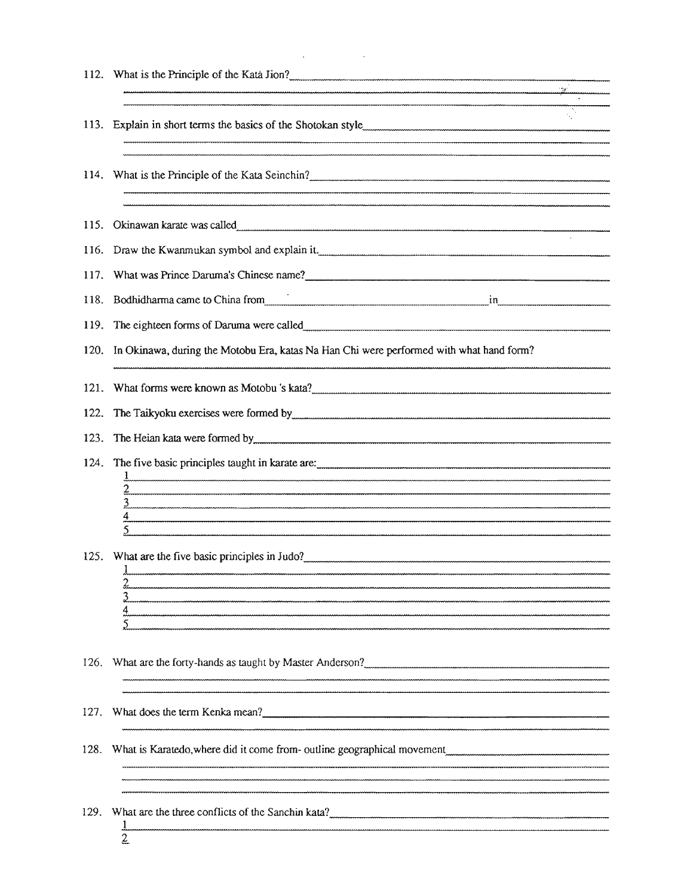|      | 112. What is the Principle of the Kata Jion?                                                                                                                                                                                   |
|------|--------------------------------------------------------------------------------------------------------------------------------------------------------------------------------------------------------------------------------|
|      |                                                                                                                                                                                                                                |
| 113. |                                                                                                                                                                                                                                |
|      | 114. What is the Principle of the Kata Seinchin?                                                                                                                                                                               |
| 115. |                                                                                                                                                                                                                                |
| 116. |                                                                                                                                                                                                                                |
| 117. |                                                                                                                                                                                                                                |
| 118. | Bodhidharma came to China from electron contract in in the case of the contract of the contract of the contract of the contract of the contract of the contract of the contract of the contract of the contract of the contrac |
| 119. |                                                                                                                                                                                                                                |
| 120. | In Okinawa, during the Motobu Era, katas Na Han Chi were performed with what hand form?                                                                                                                                        |
| 121. | What forms were known as Motobu's kata?                                                                                                                                                                                        |
| 122. |                                                                                                                                                                                                                                |
| 123. |                                                                                                                                                                                                                                |
| 124. |                                                                                                                                                                                                                                |
|      | $\overline{4}$                                                                                                                                                                                                                 |
|      |                                                                                                                                                                                                                                |
|      |                                                                                                                                                                                                                                |
| 126. | What are the forty-hands as taught by Master Anderson?                                                                                                                                                                         |
|      | 127. What does the term Kenka mean?                                                                                                                                                                                            |
|      | 128. What is Karatedo, where did it come from- outline geographical movement                                                                                                                                                   |
| 129. | What are the three conflicts of the Sanchin kata?<br>$\overline{2}$                                                                                                                                                            |

 $\label{eq:2.1} \mathcal{L}(\mathcal{L}^{\mathcal{L}}_{\mathcal{L}}(\mathcal{L}^{\mathcal{L}}_{\mathcal{L}})) = \mathcal{L}(\mathcal{L}^{\mathcal{L}}_{\mathcal{L}}(\mathcal{L}^{\mathcal{L}}_{\mathcal{L}})) = \mathcal{L}(\mathcal{L}^{\mathcal{L}}_{\mathcal{L}}(\mathcal{L}^{\mathcal{L}}_{\mathcal{L}}))$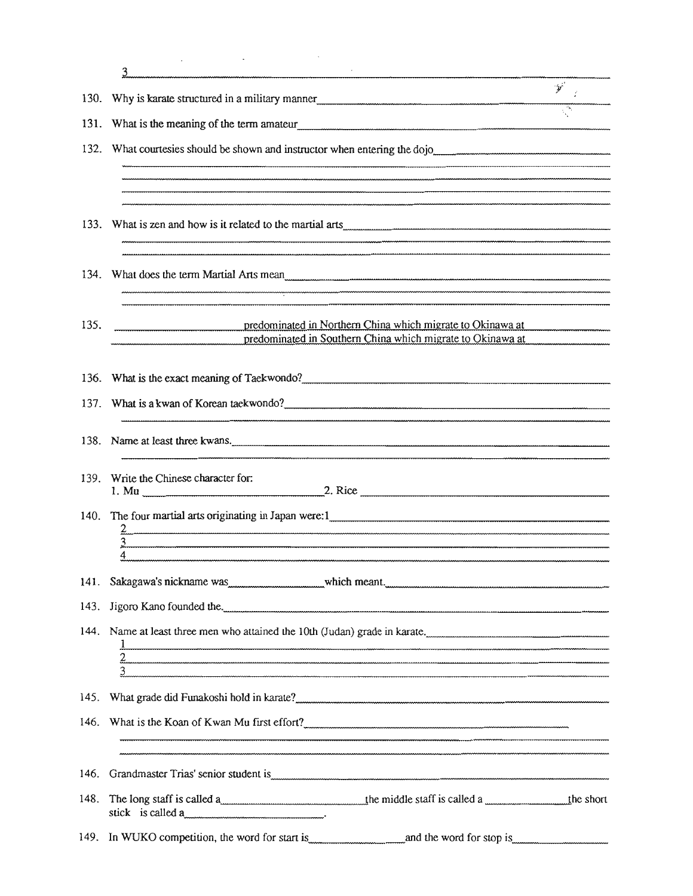|      | 3                                                                                                                                                                                                                                                                  |                             |
|------|--------------------------------------------------------------------------------------------------------------------------------------------------------------------------------------------------------------------------------------------------------------------|-----------------------------|
| 130. | Why is karate structured in a military manner                                                                                                                                                                                                                      | $\mathcal{P}^{\mathcal{C}}$ |
| 131. | What is the meaning of the term amateur<br><u>[</u> [11] The meaning of the term amateur<br><u>[</u> [11] The meaning of the term amateur<br><u>[</u> [11] The meaning of the term amateur<br>$\frac{1}{2}$ The meaning of the term amateur<br>$\frac{1}{2}$ The m |                             |
| 132. | What courtesies should be shown and instructor when entering the dojo                                                                                                                                                                                              |                             |
|      |                                                                                                                                                                                                                                                                    |                             |
|      |                                                                                                                                                                                                                                                                    |                             |
|      |                                                                                                                                                                                                                                                                    |                             |
|      |                                                                                                                                                                                                                                                                    |                             |
|      |                                                                                                                                                                                                                                                                    |                             |
|      |                                                                                                                                                                                                                                                                    |                             |
| 135. | predominated in Northern China which migrate to Okinawa at<br>predominated in Southern China which migrate to Okinawa at                                                                                                                                           |                             |
|      |                                                                                                                                                                                                                                                                    |                             |
|      |                                                                                                                                                                                                                                                                    |                             |
|      |                                                                                                                                                                                                                                                                    |                             |
| 138. | Name at least three kwans.                                                                                                                                                                                                                                         |                             |
| 139. | Write the Chinese character for:                                                                                                                                                                                                                                   |                             |
| 140. |                                                                                                                                                                                                                                                                    |                             |
|      |                                                                                                                                                                                                                                                                    |                             |
|      |                                                                                                                                                                                                                                                                    |                             |
| 141. | Sakagawa's nickname was well was well which meant. www.was well as a mean well with the same was well with the                                                                                                                                                     |                             |
|      |                                                                                                                                                                                                                                                                    |                             |
|      | 144. Name at least three men who attained the 10th (Judan) grade in karate.                                                                                                                                                                                        |                             |
|      | 3                                                                                                                                                                                                                                                                  |                             |
|      |                                                                                                                                                                                                                                                                    |                             |
|      | 146. What is the Koan of Kwan Mu first effort?                                                                                                                                                                                                                     |                             |
|      |                                                                                                                                                                                                                                                                    |                             |
| 146. |                                                                                                                                                                                                                                                                    |                             |
| 148. | stick is called a                                                                                                                                                                                                                                                  |                             |
|      |                                                                                                                                                                                                                                                                    |                             |